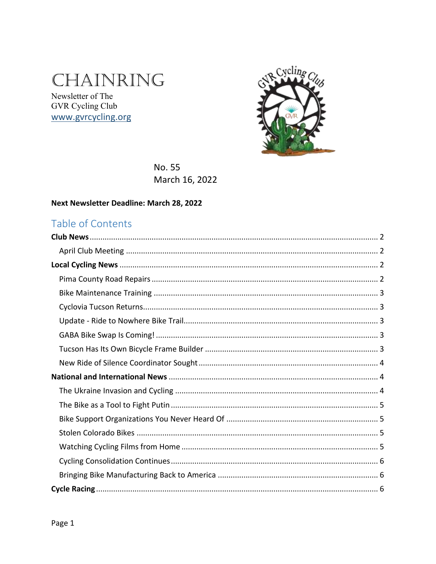# CHAINRING

Newsletter of The GVR Cycling Club www.gvrcycling.org



**No. 55** March 16, 2022

#### Next Newsletter Deadline: March 28, 2022

## Table of Contents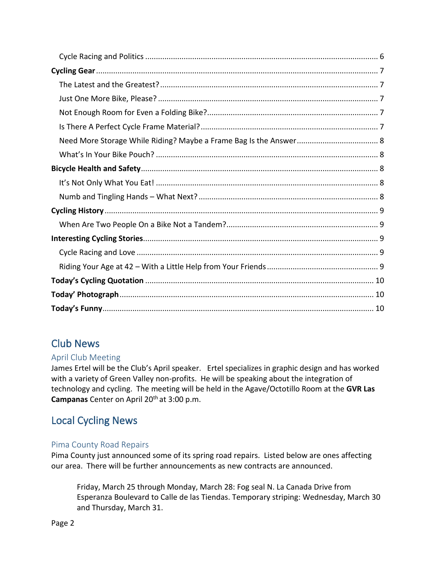# <span id="page-1-0"></span>Club News

### <span id="page-1-1"></span>April Club Meeting

James Ertel will be the Club's April speaker. Ertel specializes in graphic design and has worked with a variety of Green Valley non-profits. He will be speaking about the integration of technology and cycling. The meeting will be held in the Agave/Octotillo Room at the **GVR Las Campanas** Center on April 20th at 3:00 p.m.

# <span id="page-1-2"></span>Local Cycling News

### <span id="page-1-3"></span>Pima County Road Repairs

Pima County just announced some of its spring road repairs. Listed below are ones affecting our area. There will be further announcements as new contracts are announced.

Friday, March 25 through Monday, March 28: Fog seal N. La Canada Drive from Esperanza Boulevard to Calle de las Tiendas. Temporary striping: Wednesday, March 30 and Thursday, March 31.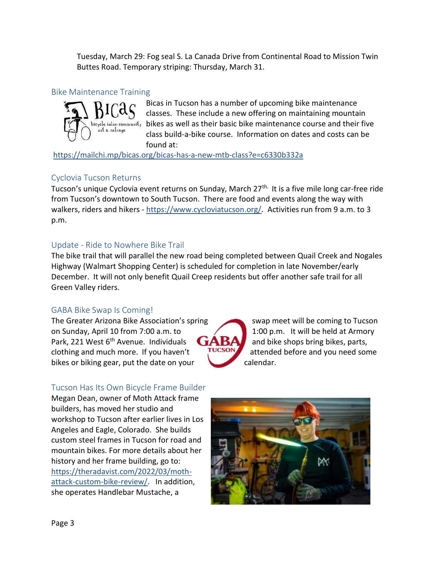Tuesday, March 29: Fog seal S. La Canada Drive from Continental Road to Mission Twin Buttes Road. Temporary striping: Thursday, March 31.

#### <span id="page-2-0"></span>Bike Maintenance Training



Bicas in Tucson has a number of upcoming bike maintenance classes. These include a new offering on maintaining mountain  $b$ icycle inter-community bikes as well as their basic bike maintenance course and their five class build-a-bike course. Information on dates and costs can be found at:

<https://mailchi.mp/bicas.org/bicas-has-a-new-mtb-class?e=c6330b332a>

### <span id="page-2-1"></span>Cyclovia Tucson Returns

Tucson's unique Cyclovia event returns on Sunday, March 27<sup>th.</sup> It is a five mile long car-free ride from Tucson's downtown to South Tucson. There are food and events along the way with walkers, riders and hikers - [https://www.cycloviatucson.org/.](https://www.cycloviatucson.org/) Activities run from 9 a.m. to 3 p.m.

### <span id="page-2-2"></span>Update - Ride to Nowhere Bike Trail

The bike trail that will parallel the new road being completed between Quail Creek and Nogales Highway (Walmart Shopping Center) is scheduled for completion in late November/early December. It will not only benefit Quail Creep residents but offer another safe trail for all Green Valley riders.

### <span id="page-2-3"></span>GABA Bike Swap Is Coming!

The Greater Arizona Bike Association's spring swap meet will be coming to Tucson on Sunday, April 10 from 7:00 a.m. to  $1:00 \text{ p.m.}$  It will be held at Armory Park, 221 West 6<sup>th</sup> Avenue. Individuals  $GAB$  and bike shops bring bikes, parts, clothing and much more. If you haven't  $\frac{1}{2}$  attended before and you need some bikes or biking gear, put the date on your calendar.

### <span id="page-2-4"></span>Tucson Has Its Own Bicycle Frame Builder

Megan Dean, owner of Moth Attack frame builders, has moved her studio and workshop to Tucson after earlier lives in Los Angeles and Eagle, Colorado. She builds custom steel frames in Tucson for road and mountain bikes. For more details about her history and her frame building, go to: [https://theradavist.com/2022/03/moth](https://theradavist.com/2022/03/moth-attack-custom-bike-review/)[attack-custom-bike-review/.](https://theradavist.com/2022/03/moth-attack-custom-bike-review/) In addition, she operates Handlebar Mustache, a

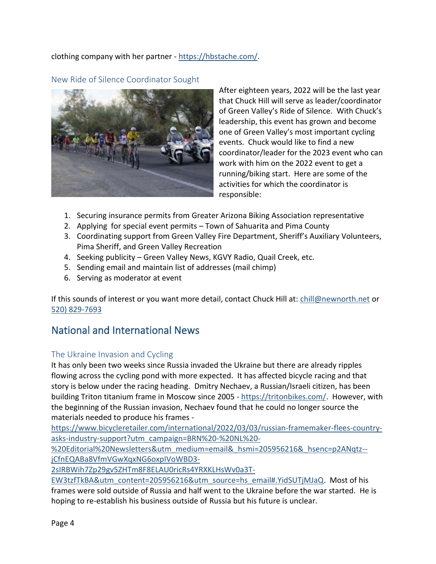clothing company with her partner - [https://hbstache.com/.](https://hbstache.com/)

<span id="page-3-0"></span>New Ride of Silence Coordinator Sought



After eighteen years, 2022 will be the last year that Chuck Hill will serve as leader/coordinator of Green Valley's Ride of Silence. With Chuck's leadership, this event has grown and become one of Green Valley's most important cycling events. Chuck would like to find a new coordinator/leader for the 2023 event who can work with him on the 2022 event to get a running/biking start. Here are some of the activities for which the coordinator is responsible:

- 1. Securing insurance permits from Greater Arizona Biking Association representative
- 2. Applying for special event permits Town of Sahuarita and Pima County
- 3. Coordinating support from Green Valley Fire Department, Sheriff's Auxiliary Volunteers, Pima Sheriff, and Green Valley Recreation
- 4. Seeking publicity Green Valley News, KGVY Radio, Quail Creek, etc.
- 5. Sending email and maintain list of addresses (mail chimp)
- 6. Serving as moderator at event

If this sounds of interest or you want more detail, contact Chuck Hill at: [chill@newnorth.net](mailto:chill@newnorth.net) or [520\) 829-7693](tel:5208297693)

### <span id="page-3-1"></span>National and International News

### <span id="page-3-2"></span>The Ukraine Invasion and Cycling

It has only been two weeks since Russia invaded the Ukraine but there are already ripples flowing across the cycling pond with more expected. It has affected bicycle racing and that story is below under the racing heading. Dmitry Nechaev, a Russian/Israeli citizen, has been building Triton titanium frame in Moscow since 2005 - [https://tritonbikes.com/.](https://tritonbikes.com/) However, with the beginning of the Russian invasion, Nechaev found that he could no longer source the materials needed to produce his frames -

[https://www.bicycleretailer.com/international/2022/03/03/russian-framemaker-flees-country](https://www.bicycleretailer.com/international/2022/03/03/russian-framemaker-flees-country-asks-industry-support?utm_campaign=BRN%20-%20NL%20-%20Editorial%20Newsletters&utm_medium=email&_hsmi=205956216&_hsenc=p2ANqtz--jCfnEQABa8VfmVGwXqxNG6oxpIVoWBD3-2sIRBWih7Zp29gv5ZHTm8F8ELAU0ricRs4YRXKLHsWv0a3T-EW3tzfTkBA&utm_content=205956216&utm_source=hs_email#.YidSUTjMJaQ)[asks-industry-support?utm\\_campaign=BRN%20-%20NL%20-](https://www.bicycleretailer.com/international/2022/03/03/russian-framemaker-flees-country-asks-industry-support?utm_campaign=BRN%20-%20NL%20-%20Editorial%20Newsletters&utm_medium=email&_hsmi=205956216&_hsenc=p2ANqtz--jCfnEQABa8VfmVGwXqxNG6oxpIVoWBD3-2sIRBWih7Zp29gv5ZHTm8F8ELAU0ricRs4YRXKLHsWv0a3T-EW3tzfTkBA&utm_content=205956216&utm_source=hs_email#.YidSUTjMJaQ)

[%20Editorial%20Newsletters&utm\\_medium=email&\\_hsmi=205956216&\\_hsenc=p2ANqtz-](https://www.bicycleretailer.com/international/2022/03/03/russian-framemaker-flees-country-asks-industry-support?utm_campaign=BRN%20-%20NL%20-%20Editorial%20Newsletters&utm_medium=email&_hsmi=205956216&_hsenc=p2ANqtz--jCfnEQABa8VfmVGwXqxNG6oxpIVoWBD3-2sIRBWih7Zp29gv5ZHTm8F8ELAU0ricRs4YRXKLHsWv0a3T-EW3tzfTkBA&utm_content=205956216&utm_source=hs_email#.YidSUTjMJaQ) [jCfnEQABa8VfmVGwXqxNG6oxpIVoWBD3-](https://www.bicycleretailer.com/international/2022/03/03/russian-framemaker-flees-country-asks-industry-support?utm_campaign=BRN%20-%20NL%20-%20Editorial%20Newsletters&utm_medium=email&_hsmi=205956216&_hsenc=p2ANqtz--jCfnEQABa8VfmVGwXqxNG6oxpIVoWBD3-2sIRBWih7Zp29gv5ZHTm8F8ELAU0ricRs4YRXKLHsWv0a3T-EW3tzfTkBA&utm_content=205956216&utm_source=hs_email#.YidSUTjMJaQ)

[2sIRBWih7Zp29gv5ZHTm8F8ELAU0ricRs4YRXKLHsWv0a3T-](https://www.bicycleretailer.com/international/2022/03/03/russian-framemaker-flees-country-asks-industry-support?utm_campaign=BRN%20-%20NL%20-%20Editorial%20Newsletters&utm_medium=email&_hsmi=205956216&_hsenc=p2ANqtz--jCfnEQABa8VfmVGwXqxNG6oxpIVoWBD3-2sIRBWih7Zp29gv5ZHTm8F8ELAU0ricRs4YRXKLHsWv0a3T-EW3tzfTkBA&utm_content=205956216&utm_source=hs_email#.YidSUTjMJaQ)

[EW3tzfTkBA&utm\\_content=205956216&utm\\_source=hs\\_email#.YidSUTjMJaQ.](https://www.bicycleretailer.com/international/2022/03/03/russian-framemaker-flees-country-asks-industry-support?utm_campaign=BRN%20-%20NL%20-%20Editorial%20Newsletters&utm_medium=email&_hsmi=205956216&_hsenc=p2ANqtz--jCfnEQABa8VfmVGwXqxNG6oxpIVoWBD3-2sIRBWih7Zp29gv5ZHTm8F8ELAU0ricRs4YRXKLHsWv0a3T-EW3tzfTkBA&utm_content=205956216&utm_source=hs_email#.YidSUTjMJaQ) Most of his frames were sold outside of Russia and half went to the Ukraine before the war started. He is hoping to re-establish his business outside of Russia but his future is unclear.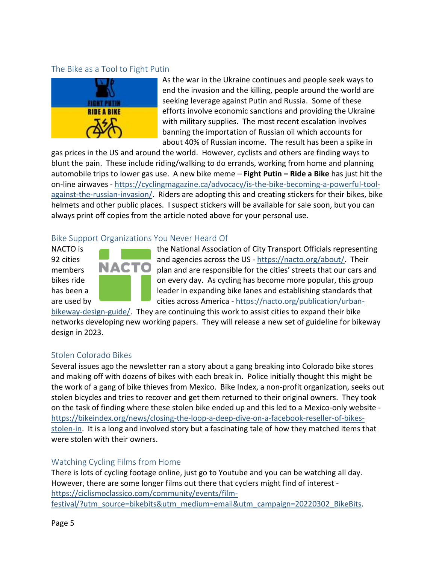#### <span id="page-4-0"></span>The Bike as a Tool to Fight Putin



As the war in the Ukraine continues and people seek ways to end the invasion and the killing, people around the world are seeking leverage against Putin and Russia. Some of these efforts involve economic sanctions and providing the Ukraine with military supplies. The most recent escalation involves banning the importation of Russian oil which accounts for about 40% of Russian income. The result has been a spike in

gas prices in the US and around the world. However, cyclists and others are finding ways to blunt the pain. These include riding/walking to do errands, working from home and planning automobile trips to lower gas use. A new bike meme – **Fight Putin – Ride a Bike** has just hit the on-line airwaves - [https://cyclingmagazine.ca/advocacy/is-the-bike-becoming-a-powerful-tool](https://cyclingmagazine.ca/advocacy/is-the-bike-becoming-a-powerful-tool-against-the-russian-invasion/)[against-the-russian-invasion/.](https://cyclingmagazine.ca/advocacy/is-the-bike-becoming-a-powerful-tool-against-the-russian-invasion/) Riders are adopting this and creating stickers for their bikes, bike helmets and other public places. I suspect stickers will be available for sale soon, but you can always print off copies from the article noted above for your personal use.

#### <span id="page-4-1"></span>Bike Support Organizations You Never Heard Of



NACTO is the National Association of City Transport Officials representing 92 cities and agencies across the US -  $\frac{https://nacto.org/about/}{https://nacto.org/about/}{https://nacto.org/about/}{Their}$ members **NALL**  $\blacksquare$  plan and are responsible for the cities' streets that our cars and bikes ride **on the state on every day.** As cycling has become more popular, this group has been a leader in expanding bike lanes and establishing standards that are used by **cities across America** - [https://nacto.org/publication/urban-](https://nacto.org/publication/urban-bikeway-design-guide/)

[bikeway-design-guide/.](https://nacto.org/publication/urban-bikeway-design-guide/) They are continuing this work to assist cities to expand their bike networks developing new working papers. They will release a new set of guideline for bikeway design in 2023.

#### <span id="page-4-2"></span>Stolen Colorado Bikes

Several issues ago the newsletter ran a story about a gang breaking into Colorado bike stores and making off with dozens of bikes with each break in. Police initially thought this might be the work of a gang of bike thieves from Mexico. Bike Index, a non-profit organization, seeks out stolen bicycles and tries to recover and get them returned to their original owners. They took on the task of finding where these stolen bike ended up and this led to a Mexico-only website [https://bikeindex.org/news/closing-the-loop-a-deep-dive-on-a-facebook-reseller-of-bikes](https://bikeindex.org/news/closing-the-loop-a-deep-dive-on-a-facebook-reseller-of-bikes-stolen-in)[stolen-in.](https://bikeindex.org/news/closing-the-loop-a-deep-dive-on-a-facebook-reseller-of-bikes-stolen-in) It is a long and involved story but a fascinating tale of how they matched items that were stolen with their owners.

#### <span id="page-4-3"></span>Watching Cycling Films from Home

There is lots of cycling footage online, just go to Youtube and you can be watching all day. However, there are some longer films out there that cyclers might find of interest [https://ciclismoclassico.com/community/events/film](https://ciclismoclassico.com/community/events/film-festival/?utm_source=bikebits&utm_medium=email&utm_campaign=20220302_BikeBits)[festival/?utm\\_source=bikebits&utm\\_medium=email&utm\\_campaign=20220302\\_BikeBits.](https://ciclismoclassico.com/community/events/film-festival/?utm_source=bikebits&utm_medium=email&utm_campaign=20220302_BikeBits)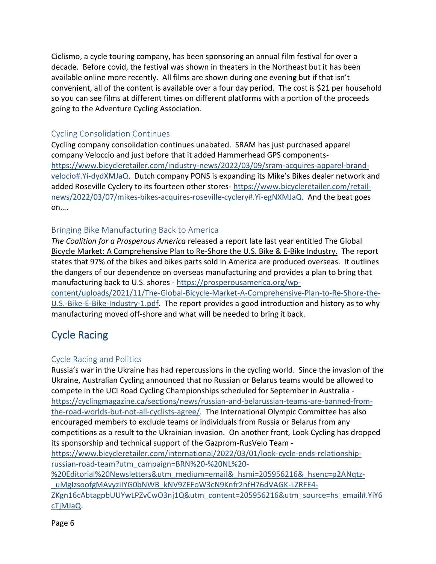Ciclismo, a cycle touring company, has been sponsoring an annual film festival for over a decade. Before covid, the festival was shown in theaters in the Northeast but it has been available online more recently. All films are shown during one evening but if that isn't convenient, all of the content is available over a four day period. The cost is \$21 per household so you can see films at different times on different platforms with a portion of the proceeds going to the Adventure Cycling Association.

### <span id="page-5-0"></span>Cycling Consolidation Continues

Cycling company consolidation continues unabated. SRAM has just purchased apparel company Veloccio and just before that it added Hammerhead GPS components[https://www.bicycleretailer.com/industry-news/2022/03/09/sram-acquires-apparel-brand](https://www.bicycleretailer.com/industry-news/2022/03/09/sram-acquires-apparel-brand-velocio#.Yi-dydXMJaQ)[velocio#.Yi-dydXMJaQ](https://www.bicycleretailer.com/industry-news/2022/03/09/sram-acquires-apparel-brand-velocio#.Yi-dydXMJaQ). Dutch company PONS is expanding its Mike's Bikes dealer network and added Roseville Cyclery to its fourteen other stores- [https://www.bicycleretailer.com/retail](https://www.bicycleretailer.com/retail-news/2022/03/07/mikes-bikes-acquires-roseville-cyclery#.Yi-egNXMJaQ)[news/2022/03/07/mikes-bikes-acquires-roseville-cyclery#.Yi-egNXMJaQ.](https://www.bicycleretailer.com/retail-news/2022/03/07/mikes-bikes-acquires-roseville-cyclery#.Yi-egNXMJaQ) And the beat goes on….

### <span id="page-5-1"></span>Bringing Bike Manufacturing Back to America

*The Coalition for a Prosperous America* released a report late last year entitled The Global Bicycle Market: A Comprehensive Plan to Re-Shore the U.S. Bike & E-Bike Industry. The report states that 97% of the bikes and bikes parts sold in America are produced overseas. It outlines the dangers of our dependence on overseas manufacturing and provides a plan to bring that manufacturing back to U.S. shores - [https://prosperousamerica.org/wp-](https://prosperousamerica.org/wp-content/uploads/2021/11/The-Global-Bicycle-Market-A-Comprehensive-Plan-to-Re-Shore-the-U.S.-Bike-E-Bike-Industry-1.pdf)

[content/uploads/2021/11/The-Global-Bicycle-Market-A-Comprehensive-Plan-to-Re-Shore-the-](https://prosperousamerica.org/wp-content/uploads/2021/11/The-Global-Bicycle-Market-A-Comprehensive-Plan-to-Re-Shore-the-U.S.-Bike-E-Bike-Industry-1.pdf)[U.S.-Bike-E-Bike-Industry-1.pdf.](https://prosperousamerica.org/wp-content/uploads/2021/11/The-Global-Bicycle-Market-A-Comprehensive-Plan-to-Re-Shore-the-U.S.-Bike-E-Bike-Industry-1.pdf) The report provides a good introduction and history as to why manufacturing moved off-shore and what will be needed to bring it back.

# <span id="page-5-2"></span>Cycle Racing

### <span id="page-5-3"></span>Cycle Racing and Politics

Russia's war in the Ukraine has had repercussions in the cycling world. Since the invasion of the Ukraine, Australian Cycling announced that no Russian or Belarus teams would be allowed to compete in the UCI Road Cycling Championships scheduled for September in Australia https://cyclingmagazine.ca/sections/news/russian-and-belarussian-teams-are-banned-fromthe-road-worlds-but-not-all-cyclists-agree/. The International Olympic Committee has also encouraged members to exclude teams or individuals from Russia or Belarus from any competitions as a result to the Ukrainian invasion. On another front, Look Cycling has dropped its sponsorship and technical support of the Gazprom-RusVelo Team -

[https://www.bicycleretailer.com/international/2022/03/01/look-cycle-ends-relationship](https://www.bicycleretailer.com/international/2022/03/01/look-cycle-ends-relationship-russian-road-team?utm_campaign=BRN%20-%20NL%20-%20Editorial%20Newsletters&utm_medium=email&_hsmi=205956216&_hsenc=p2ANqtz-_uMgIzsoofgMAvyziIYG0bNWB_kNV9ZEFoW3cN9Knfr2nfH76dVAGK-LZRFE4-ZKgn16cAbtagpbUUYwLPZvCwO3nj1Q&utm_content=205956216&utm_source=hs_email#.YiY6cTjMJaQ)[russian-road-team?utm\\_campaign=BRN%20-%20NL%20-](https://www.bicycleretailer.com/international/2022/03/01/look-cycle-ends-relationship-russian-road-team?utm_campaign=BRN%20-%20NL%20-%20Editorial%20Newsletters&utm_medium=email&_hsmi=205956216&_hsenc=p2ANqtz-_uMgIzsoofgMAvyziIYG0bNWB_kNV9ZEFoW3cN9Knfr2nfH76dVAGK-LZRFE4-ZKgn16cAbtagpbUUYwLPZvCwO3nj1Q&utm_content=205956216&utm_source=hs_email#.YiY6cTjMJaQ)

[%20Editorial%20Newsletters&utm\\_medium=email&\\_hsmi=205956216&\\_hsenc=p2ANqtz-](https://www.bicycleretailer.com/international/2022/03/01/look-cycle-ends-relationship-russian-road-team?utm_campaign=BRN%20-%20NL%20-%20Editorial%20Newsletters&utm_medium=email&_hsmi=205956216&_hsenc=p2ANqtz-_uMgIzsoofgMAvyziIYG0bNWB_kNV9ZEFoW3cN9Knfr2nfH76dVAGK-LZRFE4-ZKgn16cAbtagpbUUYwLPZvCwO3nj1Q&utm_content=205956216&utm_source=hs_email#.YiY6cTjMJaQ) [\\_uMgIzsoofgMAvyziIYG0bNWB\\_kNV9ZEFoW3cN9Knfr2nfH76dVAGK-LZRFE4-](https://www.bicycleretailer.com/international/2022/03/01/look-cycle-ends-relationship-russian-road-team?utm_campaign=BRN%20-%20NL%20-%20Editorial%20Newsletters&utm_medium=email&_hsmi=205956216&_hsenc=p2ANqtz-_uMgIzsoofgMAvyziIYG0bNWB_kNV9ZEFoW3cN9Knfr2nfH76dVAGK-LZRFE4-ZKgn16cAbtagpbUUYwLPZvCwO3nj1Q&utm_content=205956216&utm_source=hs_email#.YiY6cTjMJaQ)

[ZKgn16cAbtagpbUUYwLPZvCwO3nj1Q&utm\\_content=205956216&utm\\_source=hs\\_email#.YiY6](https://www.bicycleretailer.com/international/2022/03/01/look-cycle-ends-relationship-russian-road-team?utm_campaign=BRN%20-%20NL%20-%20Editorial%20Newsletters&utm_medium=email&_hsmi=205956216&_hsenc=p2ANqtz-_uMgIzsoofgMAvyziIYG0bNWB_kNV9ZEFoW3cN9Knfr2nfH76dVAGK-LZRFE4-ZKgn16cAbtagpbUUYwLPZvCwO3nj1Q&utm_content=205956216&utm_source=hs_email#.YiY6cTjMJaQ) [cTjMJaQ.](https://www.bicycleretailer.com/international/2022/03/01/look-cycle-ends-relationship-russian-road-team?utm_campaign=BRN%20-%20NL%20-%20Editorial%20Newsletters&utm_medium=email&_hsmi=205956216&_hsenc=p2ANqtz-_uMgIzsoofgMAvyziIYG0bNWB_kNV9ZEFoW3cN9Knfr2nfH76dVAGK-LZRFE4-ZKgn16cAbtagpbUUYwLPZvCwO3nj1Q&utm_content=205956216&utm_source=hs_email#.YiY6cTjMJaQ)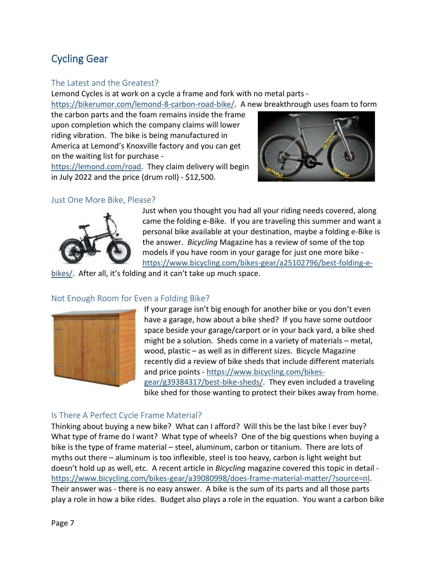# <span id="page-6-0"></span>Cycling Gear

#### <span id="page-6-1"></span>The Latest and the Greatest?

Lemond Cycles is at work on a cycle a frame and fork with no metal parts [https://bikerumor.com/lemond-8-carbon-road-bike/.](https://bikerumor.com/lemond-8-carbon-road-bike/) A new breakthrough uses foam to form

the carbon parts and the foam remains inside the frame upon completion which the company claims will lower riding vibration. The bike is being manufactured in America at Lemond's Knoxville factory and you can get on the waiting list for purchase -

[https://lemond.com/road.](https://lemond.com/road) They claim delivery will begin in July 2022 and the price (drum roll) - \$12,500.



#### <span id="page-6-2"></span>Just One More Bike, Please?



Just when you thought you had all your riding needs covered, along came the folding e-Bike. If you are traveling this summer and want a personal bike available at your destination, maybe a folding e-Bike is the answer. *Bicycling* Magazine has a review of some of the top models if you have room in your garage for just one more bike [https://www.bicycling.com/bikes-gear/a25102796/best-folding-e-](https://www.bicycling.com/bikes-gear/a25102796/best-folding-e-bikes/)

[bikes/](https://www.bicycling.com/bikes-gear/a25102796/best-folding-e-bikes/). After all, it's folding and it can't take up much space.

#### <span id="page-6-3"></span>Not Enough Room for Even a Folding Bike?

![](_page_6_Picture_11.jpeg)

If your garage isn't big enough for another bike or you don't even have a garage, how about a bike shed? If you have some outdoor space beside your garage/carport or in your back yard, a bike shed might be a solution. Sheds come in a variety of materials – metal, wood, plastic – as well as in different sizes. Bicycle Magazine recently did a review of bike sheds that include different materials and price points - [https://www.bicycling.com/bikes](https://www.bicycling.com/bikes-gear/g39384317/best-bike-sheds/)[gear/g39384317/best-bike-sheds/.](https://www.bicycling.com/bikes-gear/g39384317/best-bike-sheds/) They even included a traveling bike shed for those wanting to protect their bikes away from home.

#### <span id="page-6-4"></span>Is There A Perfect Cycle Frame Material?

Thinking about buying a new bike? What can I afford? Will this be the last bike I ever buy? What type of frame do I want? What type of wheels? One of the big questions when buying a bike is the type of frame material – steel, aluminum, carbon or titanium. There are lots of myths out there – aluminum is too inflexible, steel is too heavy, carbon is light weight but doesn't hold up as well, etc. A recent article in *Bicycling* magazine covered this topic in detail [https://www.bicycling.com/bikes-gear/a39080998/does-frame-material-matter/?source=nl.](https://www.bicycling.com/bikes-gear/a39080998/does-frame-material-matter/?source=nl) Their answer was - there is no easy answer. A bike is the sum of its parts and all those parts play a role in how a bike rides. Budget also plays a role in the equation. You want a carbon bike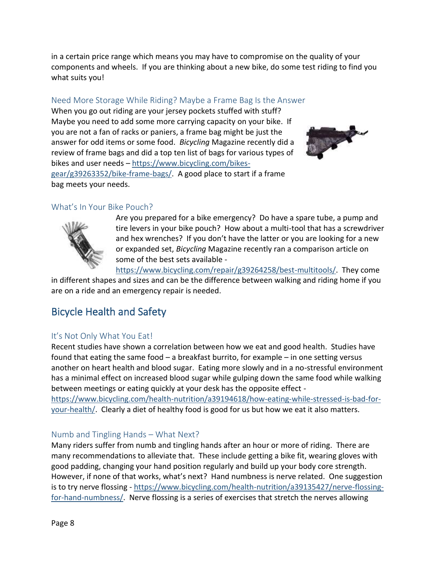in a certain price range which means you may have to compromise on the quality of your components and wheels. If you are thinking about a new bike, do some test riding to find you what suits you!

### <span id="page-7-0"></span>Need More Storage While Riding? Maybe a Frame Bag Is the Answer

When you go out riding are your jersey pockets stuffed with stuff? Maybe you need to add some more carrying capacity on your bike. If you are not a fan of racks or paniers, a frame bag might be just the answer for odd items or some food. *Bicycling* Magazine recently did a review of frame bags and did a top ten list of bags for various types of bikes and user needs – [https://www.bicycling.com/bikes](https://www.bicycling.com/bikes-gear/g39263352/bike-frame-bags/)[gear/g39263352/bike-frame-bags/.](https://www.bicycling.com/bikes-gear/g39263352/bike-frame-bags/) A good place to start if a frame bag meets your needs.

![](_page_7_Picture_3.jpeg)

### <span id="page-7-1"></span>What's In Your Bike Pouch?

![](_page_7_Picture_5.jpeg)

Are you prepared for a bike emergency? Do have a spare tube, a pump and tire levers in your bike pouch? How about a multi-tool that has a screwdriver and hex wrenches? If you don't have the latter or you are looking for a new or expanded set, *Bicycling* Magazine recently ran a comparison article on some of the best sets available -

[https://www.bicycling.com/repair/g39264258/best-multitools/.](https://www.bicycling.com/repair/g39264258/best-multitools/) They come in different shapes and sizes and can be the difference between walking and riding home if you are on a ride and an emergency repair is needed.

# <span id="page-7-2"></span>Bicycle Health and Safety

### <span id="page-7-3"></span>It's Not Only What You Eat!

Recent studies have shown a correlation between how we eat and good health. Studies have found that eating the same food – a breakfast burrito, for example – in one setting versus another on heart health and blood sugar. Eating more slowly and in a no-stressful environment has a minimal effect on increased blood sugar while gulping down the same food while walking between meetings or eating quickly at your desk has the opposite effect [https://www.bicycling.com/health-nutrition/a39194618/how-eating-while-stressed-is-bad-for](https://www.bicycling.com/health-nutrition/a39194618/how-eating-while-stressed-is-bad-for-your-health/)[your-health/.](https://www.bicycling.com/health-nutrition/a39194618/how-eating-while-stressed-is-bad-for-your-health/) Clearly a diet of healthy food is good for us but how we eat it also matters.

### <span id="page-7-4"></span>Numb and Tingling Hands – What Next?

Many riders suffer from numb and tingling hands after an hour or more of riding. There are many recommendations to alleviate that. These include getting a bike fit, wearing gloves with good padding, changing your hand position regularly and build up your body core strength. However, if none of that works, what's next? Hand numbness is nerve related. One suggestion is to try nerve flossing - [https://www.bicycling.com/health-nutrition/a39135427/nerve-flossing](https://www.bicycling.com/health-nutrition/a39135427/nerve-flossing-for-hand-numbness/)[for-hand-numbness/.](https://www.bicycling.com/health-nutrition/a39135427/nerve-flossing-for-hand-numbness/) Nerve flossing is a series of exercises that stretch the nerves allowing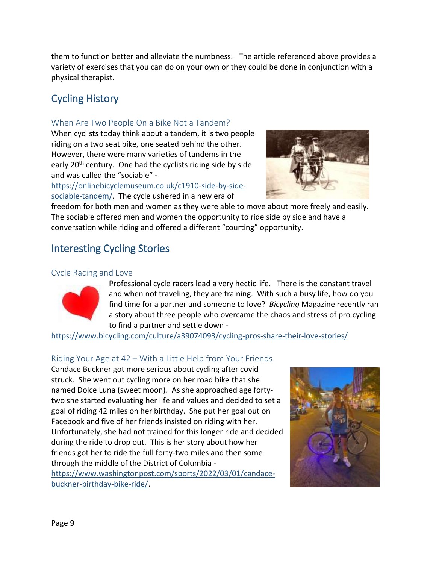them to function better and alleviate the numbness. The article referenced above provides a variety of exercises that you can do on your own or they could be done in conjunction with a physical therapist.

# <span id="page-8-0"></span>Cycling History

#### <span id="page-8-1"></span>When Are Two People On a Bike Not a Tandem?

When cyclists today think about a tandem, it is two people riding on a two seat bike, one seated behind the other. However, there were many varieties of tandems in the early 20<sup>th</sup> century. One had the cyclists riding side by side and was called the "sociable" -

[https://onlinebicyclemuseum.co.uk/c1910-side-by-side](https://onlinebicyclemuseum.co.uk/c1910-side-by-side-sociable-tandem/)[sociable-tandem/.](https://onlinebicyclemuseum.co.uk/c1910-side-by-side-sociable-tandem/) The cycle ushered in a new era of

![](_page_8_Picture_5.jpeg)

freedom for both men and women as they were able to move about more freely and easily. The sociable offered men and women the opportunity to ride side by side and have a conversation while riding and offered a different "courting" opportunity.

# <span id="page-8-2"></span>Interesting Cycling Stories

#### <span id="page-8-3"></span>Cycle Racing and Love

![](_page_8_Picture_9.jpeg)

Professional cycle racers lead a very hectic life. There is the constant travel and when not traveling, they are training. With such a busy life, how do you find time for a partner and someone to love? *Bicycling* Magazine recently ran a story about three people who overcame the chaos and stress of pro cycling to find a partner and settle down -

<https://www.bicycling.com/culture/a39074093/cycling-pros-share-their-love-stories/>

### <span id="page-8-4"></span>Riding Your Age at 42 – With a Little Help from Your Friends

Candace Buckner got more serious about cycling after covid struck. She went out cycling more on her road bike that she named Dolce Luna (sweet moon). As she approached age fortytwo she started evaluating her life and values and decided to set a goal of riding 42 miles on her birthday. She put her goal out on Facebook and five of her friends insisted on riding with her. Unfortunately, she had not trained for this longer ride and decided during the ride to drop out. This is her story about how her friends got her to ride the full forty-two miles and then some through the middle of the District of Columbia -

[https://www.washingtonpost.com/sports/2022/03/01/candace](https://www.washingtonpost.com/sports/2022/03/01/candace-buckner-birthday-bike-ride/)[buckner-birthday-bike-ride/.](https://www.washingtonpost.com/sports/2022/03/01/candace-buckner-birthday-bike-ride/)

![](_page_8_Picture_15.jpeg)